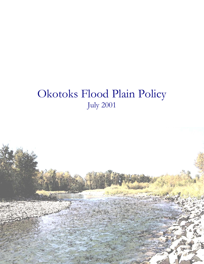# Okotoks Flood Plain Policy July 2001

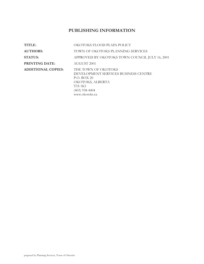# **PUBLISHING INFORMATION**

| TITLE:                    | OKOTOKS FLOOD PLAIN POLICY                                                                                                                            |
|---------------------------|-------------------------------------------------------------------------------------------------------------------------------------------------------|
| <b>AUTHORS:</b>           | TOWN OF OKOTOKS PLANNING SERVICES                                                                                                                     |
| <b>STATUS:</b>            | APPROVED BY OKOTOKS TOWN COUNCIL JULY 16, 2001                                                                                                        |
| <b>PRINTING DATE:</b>     | AUGUST 2001                                                                                                                                           |
| <b>ADDITIONAL COPIES:</b> | THE TOWN OF OKOTOKS<br>DEVELOPMENT SERVICES BUSINESS CENTRE<br>P.O. BOX 20<br>OKOTOKS, ALBERTA<br><b>T1S1K1</b><br>$(403)$ 938-4404<br>www.okotoks.ca |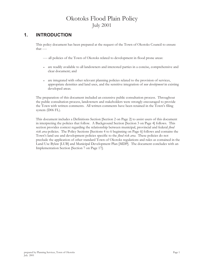# Okotoks Flood Plain Policy July 2001

## **1. INTRODUCTION**

This policy document has been prepared at the request of the Town of Okotoks Council to ensure that ----

- ---- all policies of the Town of Okotoks related to development in flood prone areas:
- <sup>x</sup> are readily available to all landowners and interested parties in a concise, comprehensive and clear document; and
- are integrated with other relevant planning policies related to the provision of services, appropriate densities and land uses, and the sensitive integration of *new development* in existing developed areas.

The preparation of this document included an extensive public consultation process. Throughout the public consultation process, landowners and stakeholders were strongly encouraged to provide the Town with written comments. All written comments have been retained in the Town's filing system (D06 FL).

This document includes a Definitions Section [Section 2 on Page 2] to assist users of this document in interpreting the policies that follow. A Background Section [Section 3 on Page 4] follows. This section provides context regarding the relationship between municipal, provincial and federal *flood risk area* policies. The Policy Sections [Sections 4 to 6 beginning on Page 6] follows and contains the Town's land use and development policies specific to the *flood risk area*. These policies do not preclude the application of other standard Town of Okotoks regulations and rules as contained in the Land Use Bylaw [LUB] and Municipal Development Plan [MDP]. The document concludes with an Implementation Section [Section 7 on Page 17].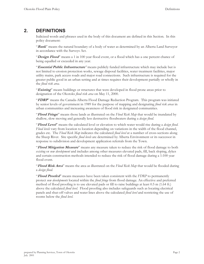## **2. DEFINITIONS**

Italicized words and phrases used in the body of this document are defined in this Section. In this policy document:

"**Bank**" means the natural boundary of a body of water as determined by an Alberta Land Surveyor in accordance with the Surveys Act.

"**Design Flood**" means a 1 in 100 year flood event, or a flood which has a one percent chance of being equalled or exceeded in any year.

"**Essential Public Infrastructure***"* means publicly funded infrastructure which may include but is not limited to erosion protection works, sewage disposal facilities, water treatment facilities, major utility mains, park access roads and major road connections. Such infrastructure is required for the greater public good in an urban setting and at times requires their development partially or wholly in the *flood risk area.*

"**Existing**" means buildings or structures that were developed in flood prone areas prior to designation of the Okotoks *flood risk area* on May 11, 2000.

"**FDRP**" means the Canada-Alberta Flood Damage Reduction Program. This program was initiated by senior levels of government in 1989 for the purpose of mapping and designating *flood risk areas* in urban communities and increasing awareness of flood risk in designated communities.

"**Flood Fringe**" means those lands as illustrated on the *Flood Risk Map* that would be inundated by shallow, slow moving and generally less destructive floodwaters during a *design flood*.

"**Flood Level**" means the calculated level or elevation to which water would rise during a *design flood*. *Flood levels* vary from location to location depending on variations in the width of the flood channel, grades etc. The *Flood Risk Map* indicates the calculated *flood level* at a number of cross-sections along the Sheep River. Site specific *flood levels* are determined by Alberta Environment or its successor in response to subdivision and development application referrals from the Town.

"**Flood Mitigation Measure**" means any measure taken to reduce the risk of flood damage to both *existing* or *new development* and includes among other measures elevated pads, fill, back sloping, dykes and certain construction methods intended to reduce the risk of flood damage during a 1:100 year flood event.

"**Flood Risk Area**" means the area as illustrated on the *Flood Risk Map* that would be flooded during a *design flood.*

"**Flood Proofed**" means measures have been taken consistent with the *FDRP* to permanently protect *new developments* located within the *flood fringe* from flood damage. An effective and preferred method of flood proofing is to use elevated pads or fill to raise buildings at least 0.5 m (1.64 ft.) above the calculated *flood level*. Flood proofing also includes safeguards such as locating electrical panels and shut-off valves and water lines above the calculated *flood level* and restricting the use of rooms below the *flood level*.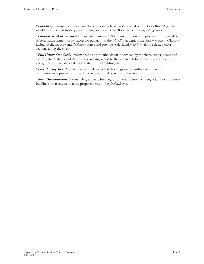"**Floodway**" means the river channel and adjoining lands as illustrated on the *Flood Risk Map* that would be inundated by deep, fast moving and destructive floodwaters during a *design flood.* 

"**Flood Risk Map**" means the map dated January 1996 or any subsequent replacement produced by Alberta Environment or its successor pursuant to the *FDRP* that depicts the *flood risk area* in Okotoks including the *floodway* and *flood fringe* zones and provides calculated *flood levels* along selected crosssections along the river.

"Full Urban Standards" means that a site or subdivision is serviced by municipal water, sewer and storm water systems and the roads providing access to the site or subdivision are paved, have curb and gutter and include a sidewalk system, street lighting etc.

"**Low density Residential**" means single detached dwellings on lots sufficient in size to accommodate a private water well and retain a rural or semi-rural setting.

"**New Development**" means filling and any building or other structure including additions to *existing* buildings or structures that are proposed within the *flood risk area*.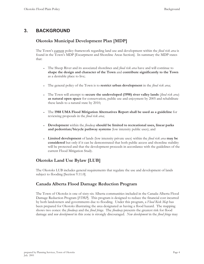# **3. BACKGROUND**

#### **Okotoks Municipal Development Plan [MDP]**

The Town's current policy framework regarding land use and development within the *flood risk area* is found in the Town's MDP [Escarpment and Shoreline Areas Section]. In summary the MDP states that:

- <sup>x</sup> The Sheep River and its associated shorelines and *flood risk area* have and will continue to **shape the design and character of the Town** and **contribute significantly to the Town** as a desirable place to live;
- <sup>x</sup> The general policy of the Town is to **restrict urban development** in the *flood risk area*;
- <sup>x</sup> The Town will attempt to **secure the undeveloped (1998) river valley lands** (*flood risk area*) **as natural open space** for conservation, public use and enjoyment by 2005 and rehabilitate these lands to a natural state by 2010;
- <sup>x</sup> The **1988 UMA Flood Mitigation Alternatives Report shall be used as a guideline** for reviewing proposals in the *flood risk area*;
- <sup>x</sup> **Development** within the *floodway* **should be limited to recreational uses, linear parks and pedestrian/bicycle pathway systems** (low intensity public uses); and
- <sup>x</sup> **Limited development** of lands (low intensity private uses) within the *flood risk area* **may be considered** but only if it can be demonstrated that both public access and shoreline stability will be protected and that the development proceeds in accordance with the guidelines of the current Flood Mitigation Study.

#### **Okotoks Land Use Bylaw [LUB]**

The Okotoks LUB includes general requirements that regulate the use and development of lands subject to flooding [Section 9.11.0].

#### **Canada Alberta Flood Damage Reduction Program**

The Town of Okotoks is one of sixty-six Alberta communities included in the Canada-Alberta Flood Damage Reduction Program [*FDRP*]. This program is designed to reduce the financial cost incurred by both landowners and governments due to flooding. Under this program, a *Flood Risk Map* has been prepared for Okotoks illustrating the area designated as having a flood hazard. The mapping shows two zones: the *floodway* and the *flood fringe*. The *floodway* presents the greatest risk for flood damage and *new development* in this zone is strongly discouraged. *New development* in the *flood fringe* may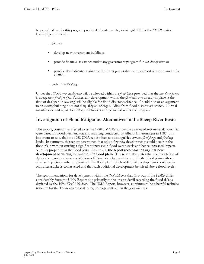be permitted under this program provided it is adequately *flood proofed*. Under the *FDRP*, senior levels of government…

…will not:

- develop new government buildings;
- provide financial assistance under any government program for *new development*; or
- **PEDRI** provide flood disaster assistance for development that occurs after designation under the *FDRP*…
- …within the *floodway*.

Under the *FDRP*, *new development* will be allowed within the *flood fringe* provided that the *new development* is adequately *flood proofed*. Further, any development within the *flood risk area* already in place at the time of designation (*existing*) will be eligible for flood disaster assistance. An addition or enlargement to an *existing* building does not disqualify an *existing* building from flood disaster assistance. Normal maintenance and repair to *existing* structures is also permitted under the program.

#### **Investigation of Flood Mitigation Alternatives in the Sheep River Basin**

This report, commonly referred to as the 1988 UMA Report, made a series of recommendations that were based on flood plain analysis and mapping conducted by Alberta Environment in 1985. It is important to note that the 1988 UMA report does not distinguish between *flood fringe* and *floodway* lands. In summary, this report determined that only a few new developments could occur in the flood plain without causing a significant increase in flood water levels and hence increased impacts on other properties in the flood plain. As a result, **the report recommends against new development occurring in much of the flood plain**. The report also states that the installation of dykes at certain locations would allow additional development to occur in the flood plain without adverse impacts on other properties in the flood plain. Such additional development should occur only after a dyke is constructed and that such additional development be raised above flood levels.

The recommendations for development within the *flood risk area* that flow out of the *FDRP* differ considerably from the UMA Report due primarily to the greater detail regarding the flood risk as depicted by the 1996 *Flood Risk Map*. The UMA Report, however, continues to be a helpful technical resource for the Town when considering development within the *flood risk area*.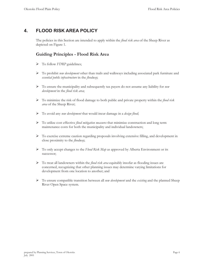# **4. FLOOD RISK AREA POLICY**

The policies in this Section are intended to apply within the *flood risk area* of the Sheep River as depicted on Figure 1.

#### **Guiding Principles - Flood Risk Area**

- ¾ To follow *FDRP* guidelines;
- ¾ To prohibit *new development* other than trails and walkways including associated park furniture and *essential public infrastructure* in the *floodway*;
- ¾ To ensure the municipality and subsequently tax payers do not assume any liability for *new development* in the *flood risk area*;
- ¾ To minimize the risk of flood damage to both public and private property within the *flood risk area* of the Sheep River;
- ¾ To avoid any *new development* that would incur damage in a *design flood*;
- ¾ To utilize cost effective *flood mitigation measures* that minimize construction and long term maintenance costs for both the municipality and individual landowners;
- ¾ To exercise extreme caution regarding proposals involving extensive filling, and development in close proximity to the *floodway*;
- ¾ To only accept changes to the *Flood Risk Map* as approved by Alberta Environment or its successor;
- ¾ To treat all landowners within the *flood risk area* equitably insofar as flooding issues are concerned, recognizing that other planning issues may determine varying limitations for development from one location to another; and
- ¾ To ensure compatible transition between all *new development* and the *existing* and the planned Sheep River Open Space system.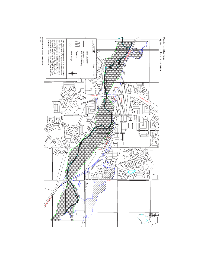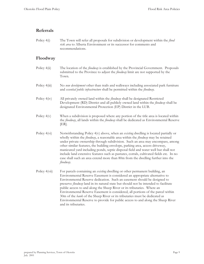#### **Referrals**

Policy 4(i) The Town will refer all proposals for subdivision or development within the *flood risk area* to Alberta Environment or its successor for comments and recommendations.

#### **Floodway**

- Policy 4(ii) The location of the *floodway* is established by the Provincial Government. Proposals submitted to the Province to adjust the *floodway* limit are not supported by the Town.
- Policy 4(iii) No *new development* other than trails and walkways including associated park furniture and *essential public infrastructure* shall be permitted within the *floodway*.
- Policy 4(iv) All privately owned land within the *floodway* shall be designated Restricted Development (RD) District and all publicly owned land within the *floodway* shall be designated Environmental Protection (EP) District in the LUB.
- Policy  $4(v)$  When a subdivision is proposed where any portion of the title area is located within the *floodway*, all lands within the *floodway* shall be dedicated as Environmental Reserve [ER].
- Policy 4(vi) Notwithstanding Policy 4(v) above, when an *existing* dwelling is located partially or wholly within the *floodway*, a reasonable area within the *floodway* may be retained under private ownership through subdivision. Such an area may encompass, among other similar features, the building envelope, parking area, access driveway, manicured yard including ponds, septic disposal field and water well but shall not include land extensive features such as pastures, corrals, cultivated fields etc. In no case shall such an area extend more than 80m from the dwelling further into the *floodway*.
- Policy 4(vii) For parcels containing an *existing* dwelling or other permanent building, an Environmental Reserve Easement is considered an appropriate alternative to Environmental Reserve dedication. Such an easement should be designed to preserve *floodway* land in its natural state but should not be intended to facilitate public access to and along the Sheep River or its tributaries. Where an Environmental Reserve Easement is considered, all portions of the parcel within 30m of the *bank* of the Sheep River or its tributaries must be dedicated as Environmental Reserve to provide for public access to and along the Sheep River and its tributaries.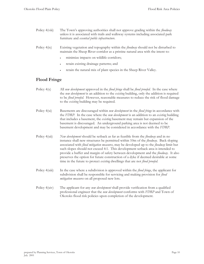- Policy 4(viii) The Town's approving authorities shall not approve grading within the *floodway* unless it is associated with trails and walkway systems including associated park furniture and *essential public infrastructure*.
- Policy 4(ix) Existing vegetation and topography within the *floodway* should not be disturbed to maintain the Sheep River corridor as a pristine natural area with the intent to:
	- minimize impacts on wildlife corridors;
	- retain existing drainage patterns; and
	- retain the natural mix of plant species in the Sheep River Valley.

#### **Flood Fringe**

- Policy 4(x) All *new development* approved in the *flood fringe* shall be *flood proofed.* In the case where the *new development* is an addition to the *existing* building, only the addition is required to be *flood proofed*. However, reasonable measures to reduce the risk of flood damage to the *existing* building may be required.
- Policy 4(xi) Basements are discouraged within *new development* in the *flood fringe* in accordance with the *FDRP.* In the case where the *new development* is an addition to an *existing* building that includes a basement, the *existing* basement may remain but expansion of the basement is discouraged. An underground parking area is not deemed to be basement development and may be considered in accordance with the *FDRP*.
- Policy 4(xii) *New development* should be setback as far as feasible from the *floodway* and in no instance shall new structures be permitted within 10m of the *floodway*. Back sloping associated with *flood mitigation measures*, may be developed up to the *floodway* limit but such slopes should not exceed 4:1. This development setback area is intended to provide a buffer and margin of safety between development and the *floodway*. It also preserves the option for future construction of a dyke if deemed desirable at some time in the future to protect *existing* dwellings that are not *flood proofed*.
- Policy 4(xiii) In the case where a subdivision is approved within the *flood fringe*, the applicant for subdivision shall be responsible for servicing and making provision for *flood mitigation measures* on all proposed new lots.
- Policy 4(xiv) The applicant for any *new development* shall provide verification from a qualified professional engineer that the *new development* conforms with *FDRP* and Town of Okotoks flood risk policies upon completion of the development.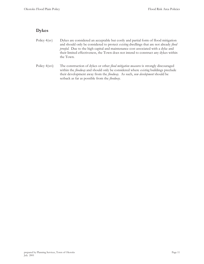#### **Dykes**

- Policy 4(xv) Dykes are considered an acceptable but costly and partial form of flood mitigation and should only be considered to protect *existing* dwellings that are not already *flood proofed.* Due to the high capital and maintenance cost associated with a dyke and their limited effectiveness, the Town does not intend to construct any dykes within the Town.
- Policy 4(xvi) The construction of dykes or other *flood mitigation measures* is strongly discouraged within the *floodway* and should only be considered where *existing* buildings preclude their development away from the *floodway*. As such, *new development* should be setback as far as possible from the *floodway*.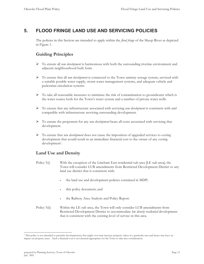# **5. FLOOD FRINGE LAND USE AND SERVICING POLICIES**

The policies in this Section are intended to apply within the *flood fringe* of the Sheep River as depicted in Figure 1.

# **Guiding Principles**

- ¾ To ensure all *new development* is harmonious with both the surrounding riverine environment and adjacent neighbourhood built form.
- ¾ To ensure that all *new development* is connected to the Town sanitary sewage system, serviced with a suitable potable water supply, storm water management systems, and adequate vehicle and pedestrian circulation systems.
- $\triangleright$  To take all reasonable measures to minimize the risk of contamination to groundwater which is the water source both for the Town's water system and a number of private water wells.
- ¾ To ensure that any infrastructure associated with servicing *new development* is consistent with and compatible with infrastructure servicing surrounding development.
- ¾ To ensure the proponent for any *new development* bears all costs associated with servicing that development.
- ¾ To ensure that *new development* does not cause the imposition of upgraded services to *existing* development that would result in an immediate financial cost to the owner of any *existing* development<sup>1</sup>.

#### **Land Use and Density**

- Policy 5(i) With the exception of the Lineham East residential sub area [LE sub area], the Town will consider LUB amendments from Restricted Development District to any land use district that is consistent with:
	- the land use and development policies contained in MDP;
	- this policy document; and
	- the Railway Area Analysis and Policy Report.
- Policy 5(ii) Within the LE sub area, the Town will only consider LUB amendments from Restricted Development District to accommodate *low density residential* development that is consistent with the existing level of service in this area.

l

<sup>1</sup> This policy is not intended to preclude development(s) that might over time increase property values in a particular area and hence may have an impact on property taxes. Such a financial cost is not deemed appropriate for the Town to take into consideration.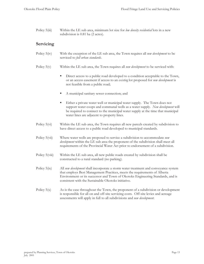Policy 5(iii) Within the LE sub area, minimum lot size for *low density residential* lots in a new subdivision is 0.81 ha (2 acres).

#### **Servicing**

- Policy 5(iv) With the exception of the LE sub area, the Town requires all *new development* to be serviced to *full urban standards*.
- Policy 5(v) Within the LE sub area, the Town requires all *new development* to be serviced with:
	- Direct access to a public road developed to a condition acceptable to the Town, or an access easement if access to an *existing* lot proposed for *new development* is not feasible from a public road;
	- A municipal sanitary sewer connection; and
	- Either a private water well or municipal water supply. The Town does not support water coops and communal wells as a water supply. *New development* will be required to connect to the municipal water supply at the time that municipal water lines are adjacent to property lines.
- Policy 5(vi) Within the LE sub area, the Town requires all new parcels created by subdivision to have direct access to a public road developed to municipal standards.
- Policy 5(vii) Where water wells are proposed to service a subdivision to accommodate *new development* within the LE sub area the proponent of the subdivision shall meet all requirements of the Provincial Water Act prior to endorsement of a subdivision.
- Policy 5(viii) Within the LE sub area, all new public roads created by subdivision shall be constructed to a rural standard (no parking).
- Policy 5(ix) All *new development* shall incorporate a storm water treatment and conveyance system that employs Best Management Practices, meets the requirements of Alberta Environment or its successor and Town of Okotoks Engineering Standards, and is consistent with the Sustainable Okotoks initiative.
- Policy  $5(x)$  As is the case throughout the Town, the proponent of a subdivision or development is responsible for all on and off-site servicing costs. Off-site levies and acreage assessments will apply in full to all subdivisions and *new development*.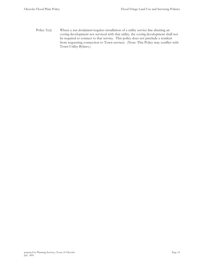Policy 5(xi) Where a *new development* requires installation of a utility service line abutting an *existing* development not serviced with that utility, the *existing* development shall not be required to connect to that service. This policy does not preclude a resident from requesting connection to Town services. (Note: This Policy may conflict with Town Utility Bylaws.)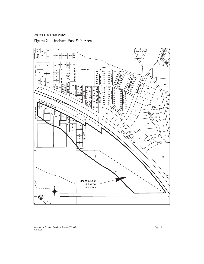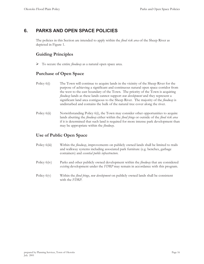# **6. PARKS AND OPEN SPACE POLICIES**

The policies in this Section are intended to apply within the *flood risk area* of the Sheep River as depicted in Figure 1.

#### **Guiding Principles**

¾ To secure the entire *floodway* as a natural open space area.

#### **Purchase of Open Space**

- Policy  $6(i)$  The Town will continue to acquire lands in the vicinity of the Sheep River for the purpose of achieving a significant and continuous natural open space corridor from the west to the east boundary of the Town. The priority of the Town is acquiring *floodway* lands as these lands cannot support *new development* and they represent a significant land area contiguous to the Sheep River. The majority of the *floodway* is undisturbed and contains the bulk of the natural tree cover along the river.
- Policy 6(ii) Notwithstanding Policy 6(i), the Town may consider other opportunities to acquire lands abutting the *floodway* either within the *flood fringe* or outside of the *flood risk area* if it is determined that such land is required for more intense park development than may be appropriate within the *floodway*.

#### **Use of Public Open Space**

- Policy 6(iii) Within the *floodway*, improvements on publicly owned lands shall be limited to trails and walkway systems including associated park furniture (e.g. benches, garbage containers) and *essential public infrastructure*.
- Policy 6(iv) Parks and other publicly owned development within the *floodway* that are considered *existing* development under the *FDRP* may remain in accordance with this program.
- Policy 6(v) Within the *flood fringe*, *new development* on publicly owned lands shall be consistent with the *FDRP*.